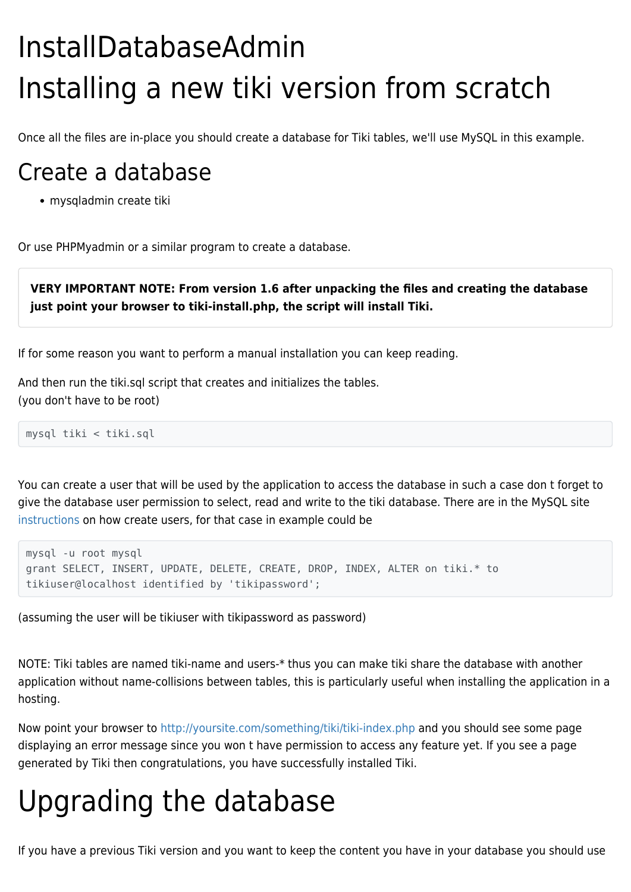## InstallDatabaseAdmin Installing a new tiki version from scratch

Once all the files are in-place you should create a database for Tiki tables, we'll use MySQL in this example.

## Create a database

mysqladmin create tiki

Or use PHPMyadmin or a similar program to create a database.

**VERY IMPORTANT NOTE: From version 1.6 after unpacking the files and creating the database just point your browser to tiki-install.php, the script will install Tiki.**

If for some reason you want to perform a manual installation you can keep reading.

And then run the tiki.sql script that creates and initializes the tables. (you don't have to be root)

mysql tiki < tiki.sql

You can create a user that will be used by the application to access the database in such a case don t forget to give the database user permission to select, read and write to the tiki database. There are in the MySQL site [instructions](http://www.mysql.com/doc/en/Adding_users.html) on how create users, for that case in example could be

```
mysql -u root mysql
grant SELECT, INSERT, UPDATE, DELETE, CREATE, DROP, INDEX, ALTER on tiki.* to
tikiuser@localhost identified by 'tikipassword';
```
(assuming the user will be tikiuser with tikipassword as password)

NOTE: Tiki tables are named tiki-name and users-\* thus you can make tiki share the database with another application without name-collisions between tables, this is particularly useful when installing the application in a hosting.

Now point your browser to <http://yoursite.com/something/tiki/tiki-index.php>and you should see some page displaying an error message since you won t have permission to access any feature yet. If you see a page generated by Tiki then congratulations, you have successfully installed Tiki.

## Upgrading the database

If you have a previous Tiki version and you want to keep the content you have in your database you should use